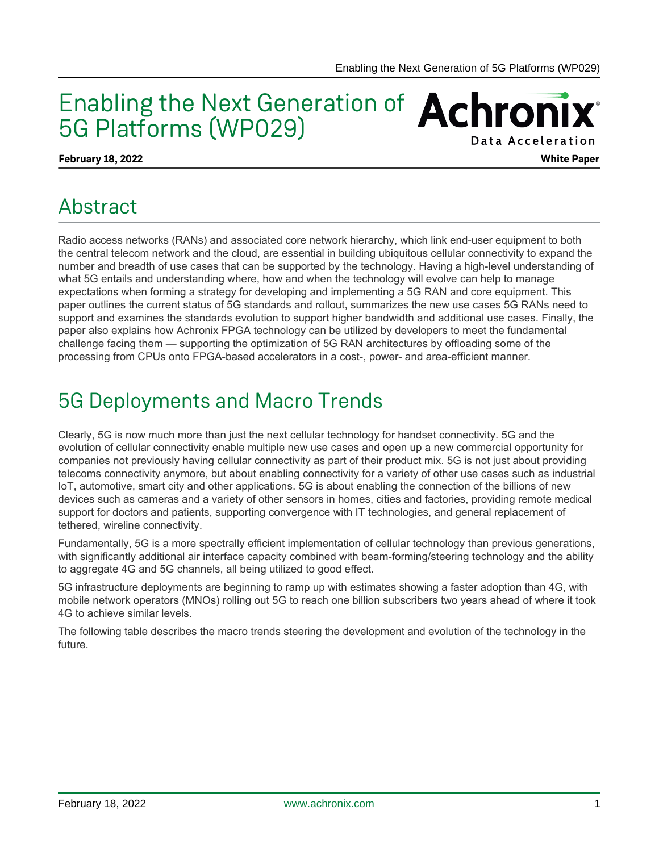## Enabling the Next Generation of Achronix 5G Platforms (WP029) Data Acceleration

### **February 18, 2022 White Paper**

## Abstract

Radio access networks (RANs) and associated core network hierarchy, which link end-user equipment to both the central telecom network and the cloud, are essential in building ubiquitous cellular connectivity to expand the number and breadth of use cases that can be supported by the technology. Having a high-level understanding of what 5G entails and understanding where, how and when the technology will evolve can help to manage expectations when forming a strategy for developing and implementing a 5G RAN and core equipment. This paper outlines the current status of 5G standards and rollout, summarizes the new use cases 5G RANs need to support and examines the standards evolution to support higher bandwidth and additional use cases. Finally, the paper also explains how Achronix FPGA technology can be utilized by developers to meet the fundamental challenge facing them — supporting the optimization of 5G RAN architectures by offloading some of the processing from CPUs onto FPGA-based accelerators in a cost-, power- and area-efficient manner.

# 5G Deployments and Macro Trends

Clearly, 5G is now much more than just the next cellular technology for handset connectivity. 5G and the evolution of cellular connectivity enable multiple new use cases and open up a new commercial opportunity for companies not previously having cellular connectivity as part of their product mix. 5G is not just about providing telecoms connectivity anymore, but about enabling connectivity for a variety of other use cases such as industrial IoT, automotive, smart city and other applications. 5G is about enabling the connection of the billions of new devices such as cameras and a variety of other sensors in homes, cities and factories, providing remote medical support for doctors and patients, supporting convergence with IT technologies, and general replacement of tethered, wireline connectivity.

Fundamentally, 5G is a more spectrally efficient implementation of cellular technology than previous generations, with significantly additional air interface capacity combined with beam-forming/steering technology and the ability to aggregate 4G and 5G channels, all being utilized to good effect.

5G infrastructure deployments are beginning to ramp up with estimates showing a faster adoption than 4G, with mobile network operators (MNOs) rolling out 5G to reach one billion subscribers two years ahead of where it took 4G to achieve similar levels.

The following table describes the macro trends steering the development and evolution of the technology in the future.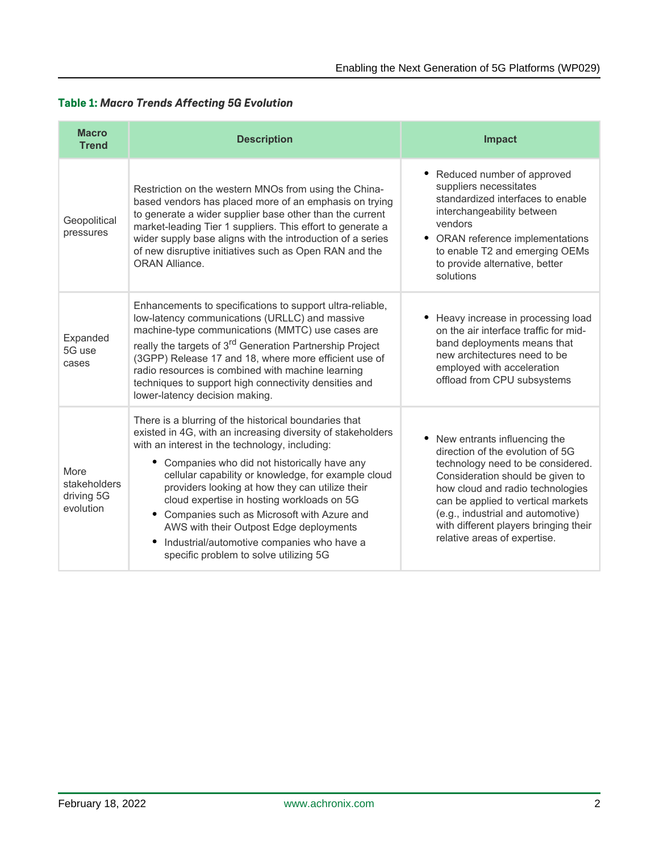| <b>Macro</b><br><b>Trend</b>                    | <b>Description</b>                                                                                                                                                                                                                                                                                                                                                                                                                                                                                                                                                         | <b>Impact</b>                                                                                                                                                                                                                                                                                                                     |
|-------------------------------------------------|----------------------------------------------------------------------------------------------------------------------------------------------------------------------------------------------------------------------------------------------------------------------------------------------------------------------------------------------------------------------------------------------------------------------------------------------------------------------------------------------------------------------------------------------------------------------------|-----------------------------------------------------------------------------------------------------------------------------------------------------------------------------------------------------------------------------------------------------------------------------------------------------------------------------------|
| Geopolitical<br>pressures                       | Restriction on the western MNOs from using the China-<br>based vendors has placed more of an emphasis on trying<br>to generate a wider supplier base other than the current<br>market-leading Tier 1 suppliers. This effort to generate a<br>wider supply base aligns with the introduction of a series<br>of new disruptive initiatives such as Open RAN and the<br><b>ORAN Alliance.</b>                                                                                                                                                                                 | • Reduced number of approved<br>suppliers necessitates<br>standardized interfaces to enable<br>interchangeability between<br>vendors<br>• ORAN reference implementations<br>to enable T2 and emerging OEMs<br>to provide alternative, better<br>solutions                                                                         |
| Expanded<br>5G use<br>cases                     | Enhancements to specifications to support ultra-reliable,<br>low-latency communications (URLLC) and massive<br>machine-type communications (MMTC) use cases are<br>really the targets of 3 <sup>rd</sup> Generation Partnership Project<br>(3GPP) Release 17 and 18, where more efficient use of<br>radio resources is combined with machine learning<br>techniques to support high connectivity densities and<br>lower-latency decision making.                                                                                                                           | Heavy increase in processing load<br>on the air interface traffic for mid-<br>band deployments means that<br>new architectures need to be<br>employed with acceleration<br>offload from CPU subsystems                                                                                                                            |
| More<br>stakeholders<br>driving 5G<br>evolution | There is a blurring of the historical boundaries that<br>existed in 4G, with an increasing diversity of stakeholders<br>with an interest in the technology, including:<br>Companies who did not historically have any<br>٠<br>cellular capability or knowledge, for example cloud<br>providers looking at how they can utilize their<br>cloud expertise in hosting workloads on 5G<br>• Companies such as Microsoft with Azure and<br>AWS with their Outpost Edge deployments<br>Industrial/automotive companies who have a<br>٠<br>specific problem to solve utilizing 5G | New entrants influencing the<br>direction of the evolution of 5G<br>technology need to be considered.<br>Consideration should be given to<br>how cloud and radio technologies<br>can be applied to vertical markets<br>(e.g., industrial and automotive)<br>with different players bringing their<br>relative areas of expertise. |

## **Table 1:** *Macro Trends Affecting 5G Evolution*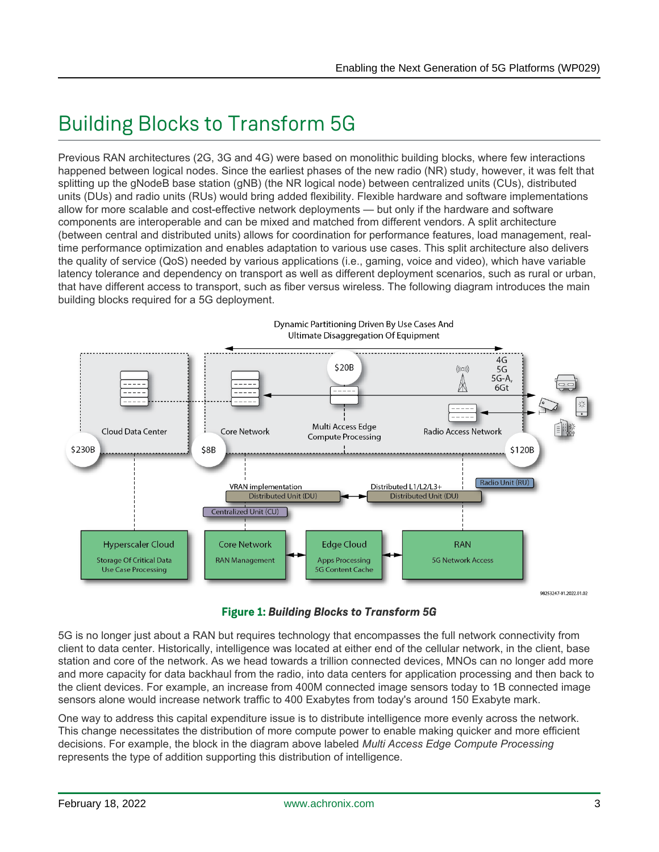# Building Blocks to Transform 5G

Previous RAN architectures (2G, 3G and 4G) were based on monolithic building blocks, where few interactions happened between logical nodes. Since the earliest phases of the new radio (NR) study, however, it was felt that splitting up the gNodeB base station (gNB) (the NR logical node) between centralized units (CUs), distributed units (DUs) and radio units (RUs) would bring added flexibility. Flexible hardware and software implementations allow for more scalable and cost-effective network deployments — but only if the hardware and software components are interoperable and can be mixed and matched from different vendors. A split architecture (between central and distributed units) allows for coordination for performance features, load management, realtime performance optimization and enables adaptation to various use cases. This split architecture also delivers the quality of service (QoS) needed by various applications (i.e., gaming, voice and video), which have variable latency tolerance and dependency on transport as well as different deployment scenarios, such as rural or urban, that have different access to transport, such as fiber versus wireless. The following diagram introduces the main building blocks required for a 5G deployment.



**Figure 1:** *Building Blocks to Transform 5G*

5G is no longer just about a RAN but requires technology that encompasses the full network connectivity from client to data center. Historically, intelligence was located at either end of the cellular network, in the client, base station and core of the network. As we head towards a trillion connected devices, MNOs can no longer add more and more capacity for data backhaul from the radio, into data centers for application processing and then back to the client devices. For example, an increase from 400M connected image sensors today to 1B connected image sensors alone would increase network traffic to 400 Exabytes from today's around 150 Exabyte mark.

One way to address this capital expenditure issue is to distribute intelligence more evenly across the network. This change necessitates the distribution of more compute power to enable making quicker and more efficient decisions. For example, the block in the diagram above labeled *Multi Access Edge Compute Processing* represents the type of addition supporting this distribution of intelligence.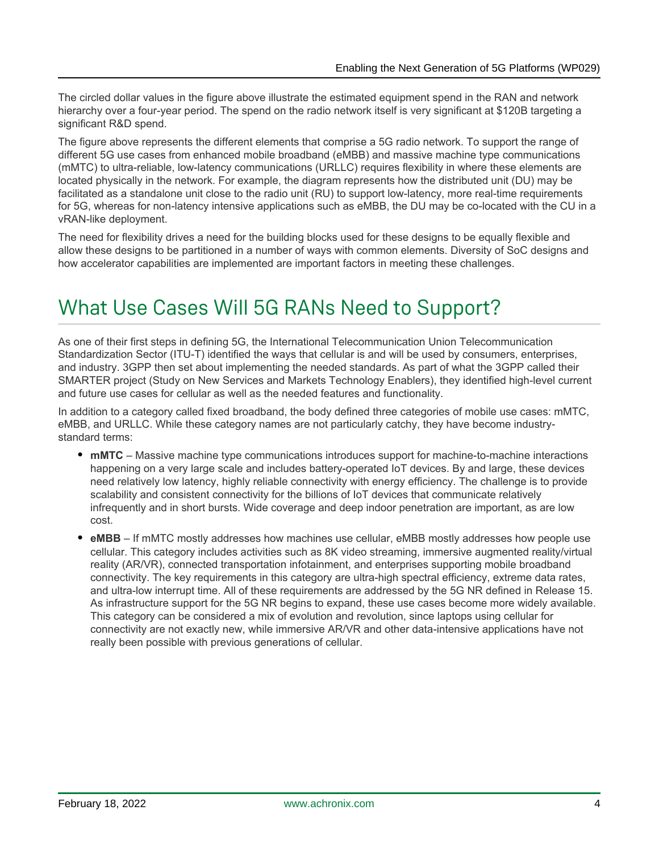The circled dollar values in the figure above illustrate the estimated equipment spend in the RAN and network hierarchy over a four-year period. The spend on the radio network itself is very significant at \$120B targeting a significant R&D spend.

The figure above represents the different elements that comprise a 5G radio network. To support the range of different 5G use cases from enhanced mobile broadband (eMBB) and massive machine type communications (mMTC) to ultra-reliable, low-latency communications (URLLC) requires flexibility in where these elements are located physically in the network. For example, the diagram represents how the distributed unit (DU) may be facilitated as a standalone unit close to the radio unit (RU) to support low-latency, more real-time requirements for 5G, whereas for non-latency intensive applications such as eMBB, the DU may be co-located with the CU in a vRAN-like deployment.

The need for flexibility drives a need for the building blocks used for these designs to be equally flexible and allow these designs to be partitioned in a number of ways with common elements. Diversity of SoC designs and how accelerator capabilities are implemented are important factors in meeting these challenges.

# What Use Cases Will 5G RANs Need to Support?

As one of their first steps in defining 5G, the International Telecommunication Union Telecommunication Standardization Sector (ITU-T) identified the ways that cellular is and will be used by consumers, enterprises, and industry. 3GPP then set about implementing the needed standards. As part of what the 3GPP called their SMARTER project (Study on New Services and Markets Technology Enablers), they identified high-level current and future use cases for cellular as well as the needed features and functionality.

In addition to a category called fixed broadband, the body defined three categories of mobile use cases: mMTC, eMBB, and URLLC. While these category names are not particularly catchy, they have become industrystandard terms:

- **mMTC** Massive machine type communications introduces support for machine-to-machine interactions happening on a very large scale and includes battery-operated IoT devices. By and large, these devices need relatively low latency, highly reliable connectivity with energy efficiency. The challenge is to provide scalability and consistent connectivity for the billions of IoT devices that communicate relatively infrequently and in short bursts. Wide coverage and deep indoor penetration are important, as are low cost.
- eMBB If mMTC mostly addresses how machines use cellular, eMBB mostly addresses how people use cellular. This category includes activities such as 8K video streaming, immersive augmented reality/virtual reality (AR/VR), connected transportation infotainment, and enterprises supporting mobile broadband connectivity. The key requirements in this category are ultra-high spectral efficiency, extreme data rates, and ultra-low interrupt time. All of these requirements are addressed by the 5G NR defined in Release 15. As infrastructure support for the 5G NR begins to expand, these use cases become more widely available. This category can be considered a mix of evolution and revolution, since laptops using cellular for connectivity are not exactly new, while immersive AR/VR and other data-intensive applications have not really been possible with previous generations of cellular.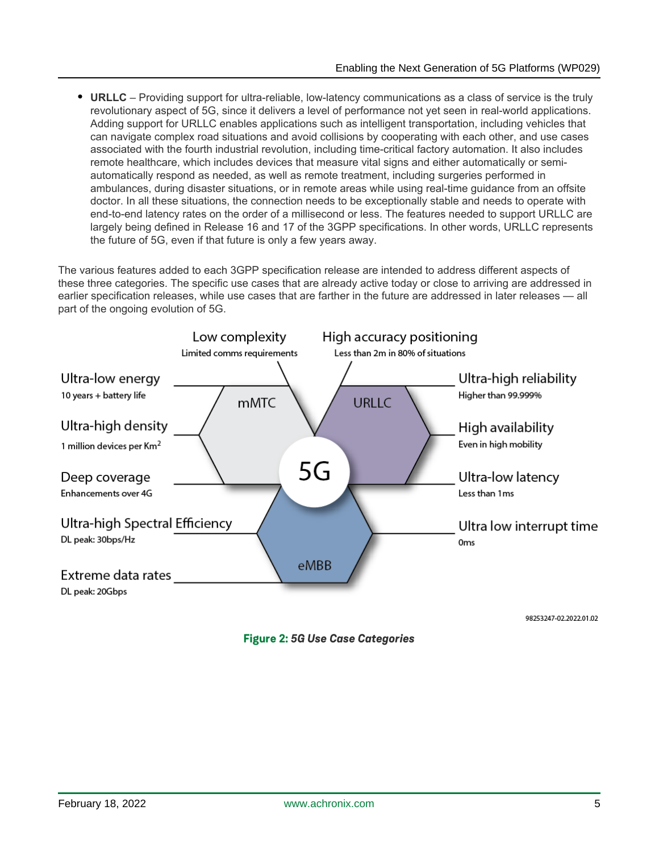**URLLC** – Providing support for ultra-reliable, low-latency communications as a class of service is the truly revolutionary aspect of 5G, since it delivers a level of performance not yet seen in real-world applications. Adding support for URLLC enables applications such as intelligent transportation, including vehicles that can navigate complex road situations and avoid collisions by cooperating with each other, and use cases associated with the fourth industrial revolution, including time-critical factory automation. It also includes remote healthcare, which includes devices that measure vital signs and either automatically or semiautomatically respond as needed, as well as remote treatment, including surgeries performed in ambulances, during disaster situations, or in remote areas while using real-time guidance from an offsite doctor. In all these situations, the connection needs to be exceptionally stable and needs to operate with end-to-end latency rates on the order of a millisecond or less. The features needed to support URLLC are largely being defined in Release 16 and 17 of the 3GPP specifications. In other words, URLLC represents the future of 5G, even if that future is only a few years away.

The various features added to each 3GPP specification release are intended to address different aspects of these three categories. The specific use cases that are already active today or close to arriving are addressed in earlier specification releases, while use cases that are farther in the future are addressed in later releases — all part of the ongoing evolution of 5G.



**Figure 2:** *5G Use Case Categories*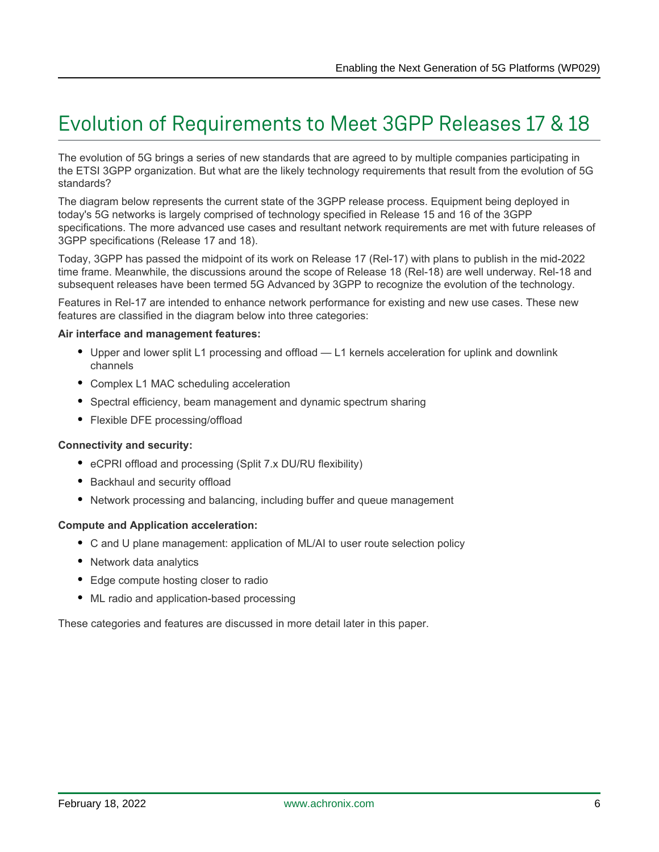# Evolution of Requirements to Meet 3GPP Releases 17 & 18

The evolution of 5G brings a series of new standards that are agreed to by multiple companies participating in the ETSI 3GPP organization. But what are the likely technology requirements that result from the evolution of 5G standards?

The diagram below represents the current state of the 3GPP release process. Equipment being deployed in today's 5G networks is largely comprised of technology specified in Release 15 and 16 of the 3GPP specifications. The more advanced use cases and resultant network requirements are met with future releases of 3GPP specifications (Release 17 and 18).

Today, 3GPP has passed the midpoint of its work on Release 17 (Rel-17) with plans to publish in the mid-2022 time frame. Meanwhile, the discussions around the scope of Release 18 (Rel-18) are well underway. Rel-18 and subsequent releases have been termed 5G Advanced by 3GPP to recognize the evolution of the technology.

Features in Rel-17 are intended to enhance network performance for existing and new use cases. These new features are classified in the diagram below into three categories:

#### **Air interface and management features:**

- Upper and lower split L1 processing and offload L1 kernels acceleration for uplink and downlink channels
- Complex L1 MAC scheduling acceleration
- Spectral efficiency, beam management and dynamic spectrum sharing
- Flexible DFE processing/offload

#### **Connectivity and security:**

- eCPRI offload and processing (Split 7.x DU/RU flexibility)
- Backhaul and security offload
- Network processing and balancing, including buffer and queue management

#### **Compute and Application acceleration:**

- C and U plane management: application of ML/AI to user route selection policy
- Network data analytics
- Edge compute hosting closer to radio
- ML radio and application-based processing

These categories and features are discussed in more detail later in this paper.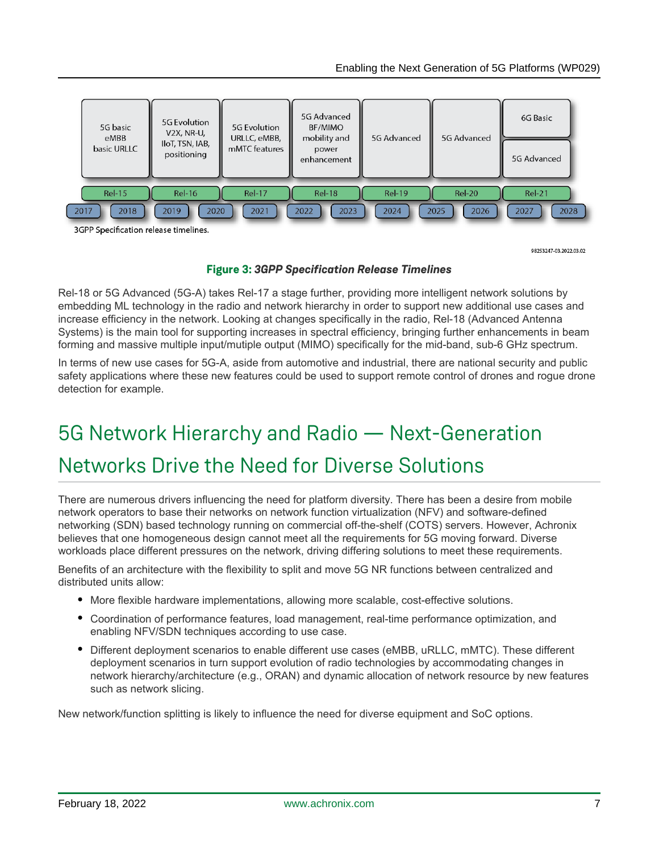

98253247-03.2022.03.02

## **Figure 3:** *3GPP Specification Release Timelines*

Rel-18 or 5G Advanced (5G-A) takes Rel-17 a stage further, providing more intelligent network solutions by embedding ML technology in the radio and network hierarchy in order to support new additional use cases and increase efficiency in the network. Looking at changes specifically in the radio, Rel-18 (Advanced Antenna Systems) is the main tool for supporting increases in spectral efficiency, bringing further enhancements in beam forming and massive multiple input/mutiple output (MIMO) specifically for the mid-band, sub-6 GHz spectrum.

In terms of new use cases for 5G-A, aside from automotive and industrial, there are national security and public safety applications where these new features could be used to support remote control of drones and rogue drone detection for example.

# 5G Network Hierarchy and Radio — Next-Generation Networks Drive the Need for Diverse Solutions

There are numerous drivers influencing the need for platform diversity. There has been a desire from mobile network operators to base their networks on network function virtualization (NFV) and software-defined networking (SDN) based technology running on commercial off-the-shelf (COTS) servers. However, Achronix believes that one homogeneous design cannot meet all the requirements for 5G moving forward. Diverse workloads place different pressures on the network, driving differing solutions to meet these requirements.

Benefits of an architecture with the flexibility to split and move 5G NR functions between centralized and distributed units allow:

- More flexible hardware implementations, allowing more scalable, cost-effective solutions.
- Coordination of performance features, load management, real-time performance optimization, and enabling NFV/SDN techniques according to use case.
- Different deployment scenarios to enable different use cases (eMBB, uRLLC, mMTC). These different deployment scenarios in turn support evolution of radio technologies by accommodating changes in network hierarchy/architecture (e.g., ORAN) and dynamic allocation of network resource by new features such as network slicing.

New network/function splitting is likely to influence the need for diverse equipment and SoC options.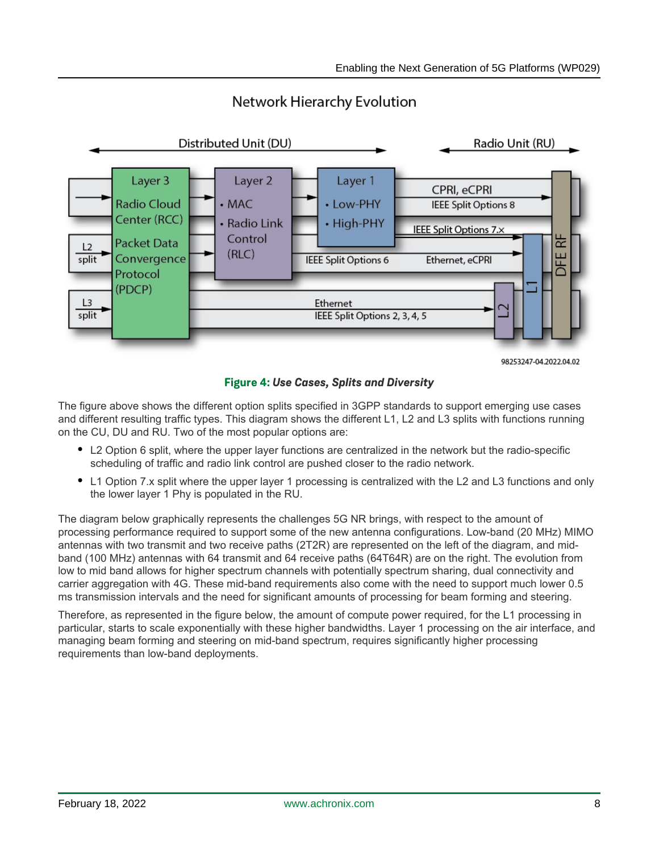

## Network Hierarchy Evolution

**Figure 4:** *Use Cases, Splits and Diversity*

The figure above shows the different option splits specified in 3GPP standards to support emerging use cases and different resulting traffic types. This diagram shows the different L1, L2 and L3 splits with functions running on the CU, DU and RU. Two of the most popular options are:

- L2 Option 6 split, where the upper layer functions are centralized in the network but the radio-specific scheduling of traffic and radio link control are pushed closer to the radio network.
- L1 Option 7.x split where the upper layer 1 processing is centralized with the L2 and L3 functions and only the lower layer 1 Phy is populated in the RU.

The diagram below graphically represents the challenges 5G NR brings, with respect to the amount of processing performance required to support some of the new antenna configurations. Low-band (20 MHz) MIMO antennas with two transmit and two receive paths (2T2R) are represented on the left of the diagram, and midband (100 MHz) antennas with 64 transmit and 64 receive paths (64T64R) are on the right. The evolution from low to mid band allows for higher spectrum channels with potentially spectrum sharing, dual connectivity and carrier aggregation with 4G. These mid-band requirements also come with the need to support much lower 0.5 ms transmission intervals and the need for significant amounts of processing for beam forming and steering.

Therefore, as represented in the figure below, the amount of compute power required, for the L1 processing in particular, starts to scale exponentially with these higher bandwidths. Layer 1 processing on the air interface, and managing beam forming and steering on mid-band spectrum, requires significantly higher processing requirements than low-band deployments.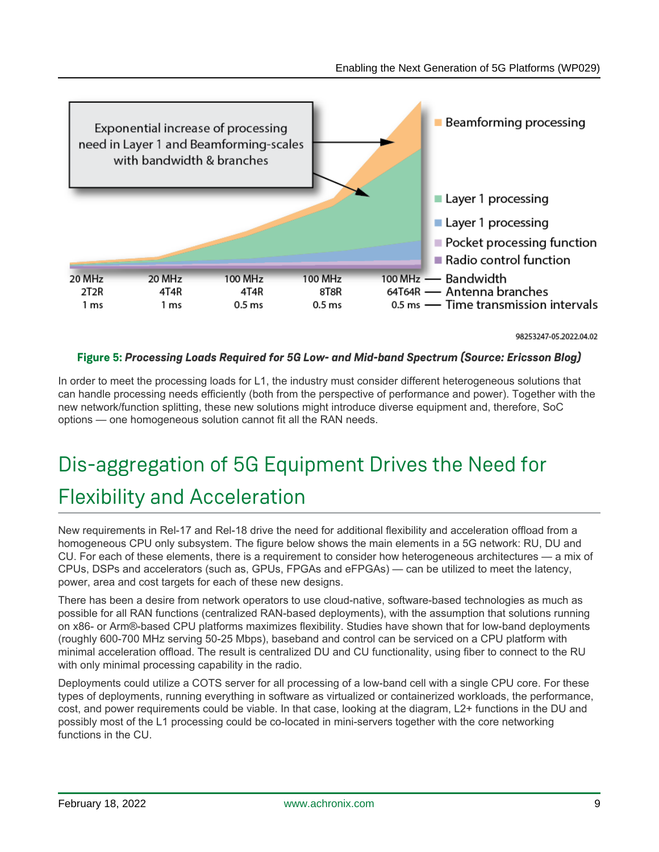

98253247-05.2022.04.02

## **Figure 5:** *Processing Loads Required for 5G Low- and Mid-band Spectrum (Source: Ericsson Blog)*

In order to meet the processing loads for L1, the industry must consider different heterogeneous solutions that can handle processing needs efficiently (both from the perspective of performance and power). Together with the new network/function splitting, these new solutions might introduce diverse equipment and, therefore, SoC options — one homogeneous solution cannot fit all the RAN needs.

# Dis-aggregation of 5G Equipment Drives the Need for Flexibility and Acceleration

New requirements in Rel-17 and Rel-18 drive the need for additional flexibility and acceleration offload from a homogeneous CPU only subsystem. The figure below shows the main elements in a 5G network: RU, DU and CU. For each of these elements, there is a requirement to consider how heterogeneous architectures — a mix of CPUs, DSPs and accelerators (such as, GPUs, FPGAs and eFPGAs) — can be utilized to meet the latency, power, area and cost targets for each of these new designs.

There has been a desire from network operators to use cloud-native, software-based technologies as much as possible for all RAN functions (centralized RAN-based deployments), with the assumption that solutions running on x86- or Arm®-based CPU platforms maximizes flexibility. Studies have shown that for low-band deployments (roughly 600-700 MHz serving 50-25 Mbps), baseband and control can be serviced on a CPU platform with minimal acceleration offload. The result is centralized DU and CU functionality, using fiber to connect to the RU with only minimal processing capability in the radio.

Deployments could utilize a COTS server for all processing of a low-band cell with a single CPU core. For these types of deployments, running everything in software as virtualized or containerized workloads, the performance, cost, and power requirements could be viable. In that case, looking at the diagram, L2+ functions in the DU and possibly most of the L1 processing could be co-located in mini-servers together with the core networking functions in the CU.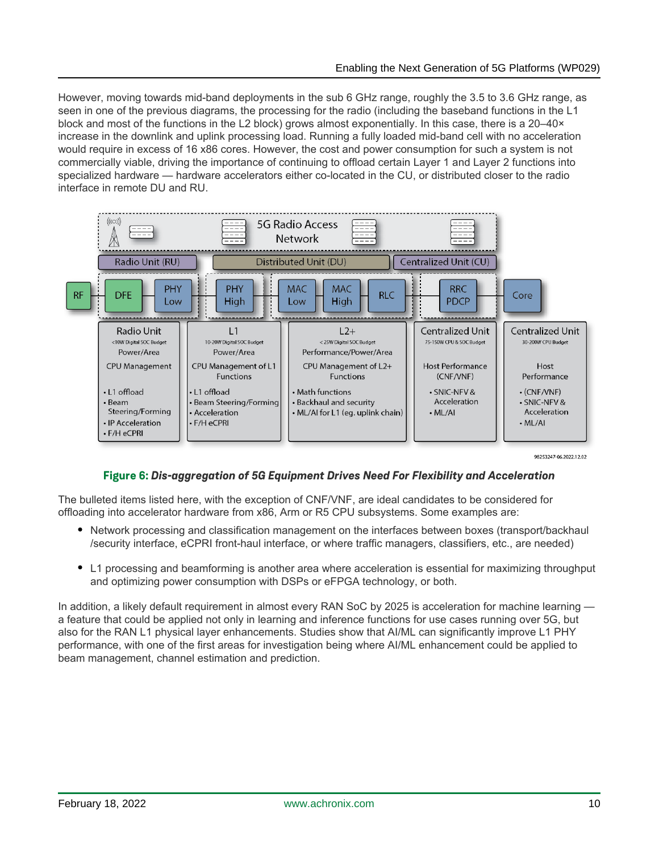However, moving towards mid-band deployments in the sub 6 GHz range, roughly the 3.5 to 3.6 GHz range, as seen in one of the previous diagrams, the processing for the radio (including the baseband functions in the L1 block and most of the functions in the L2 block) grows almost exponentially. In this case, there is a 20–40× increase in the downlink and uplink processing load. Running a fully loaded mid-band cell with no acceleration would require in excess of 16 x86 cores. However, the cost and power consumption for such a system is not commercially viable, driving the importance of continuing to offload certain Layer 1 and Layer 2 functions into specialized hardware — hardware accelerators either co-located in the CU, or distributed closer to the radio interface in remote DU and RU.



98253247-06 2022 12:02

## **Figure 6:** *Dis-aggregation of 5G Equipment Drives Need For Flexibility and Acceleration*

The bulleted items listed here, with the exception of CNF/VNF, are ideal candidates to be considered for offloading into accelerator hardware from x86, Arm or R5 CPU subsystems. Some examples are:

- Network processing and classification management on the interfaces between boxes (transport/backhaul /security interface, eCPRI front-haul interface, or where traffic managers, classifiers, etc., are needed)
- L1 processing and beamforming is another area where acceleration is essential for maximizing throughput and optimizing power consumption with DSPs or eFPGA technology, or both.

In addition, a likely default requirement in almost every RAN SoC by 2025 is acceleration for machine learning a feature that could be applied not only in learning and inference functions for use cases running over 5G, but also for the RAN L1 physical layer enhancements. Studies show that AI/ML can significantly improve L1 PHY performance, with one of the first areas for investigation being where AI/ML enhancement could be applied to beam management, channel estimation and prediction.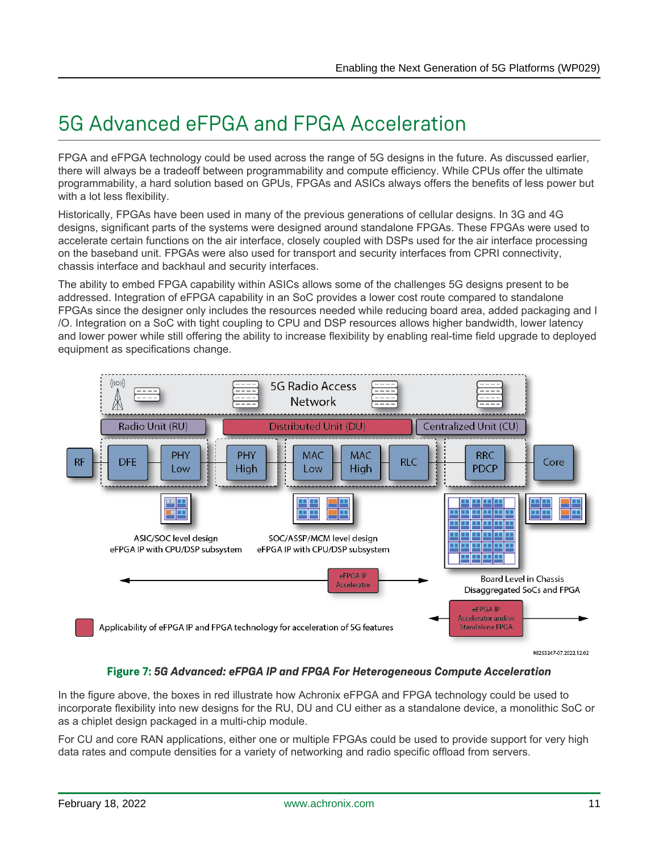# 5G Advanced eFPGA and FPGA Acceleration

FPGA and eFPGA technology could be used across the range of 5G designs in the future. As discussed earlier, there will always be a tradeoff between programmability and compute efficiency. While CPUs offer the ultimate programmability, a hard solution based on GPUs, FPGAs and ASICs always offers the benefits of less power but with a lot less flexibility.

Historically, FPGAs have been used in many of the previous generations of cellular designs. In 3G and 4G designs, significant parts of the systems were designed around standalone FPGAs. These FPGAs were used to accelerate certain functions on the air interface, closely coupled with DSPs used for the air interface processing on the baseband unit. FPGAs were also used for transport and security interfaces from CPRI connectivity, chassis interface and backhaul and security interfaces.

The ability to embed FPGA capability within ASICs allows some of the challenges 5G designs present to be addressed. Integration of eFPGA capability in an SoC provides a lower cost route compared to standalone FPGAs since the designer only includes the resources needed while reducing board area, added packaging and I /O. Integration on a SoC with tight coupling to CPU and DSP resources allows higher bandwidth, lower latency and lower power while still offering the ability to increase flexibility by enabling real-time field upgrade to deployed equipment as specifications change.



## **Figure 7:** *5G Advanced: eFPGA IP and FPGA For Heterogeneous Compute Acceleration*

In the figure above, the boxes in red illustrate how Achronix eFPGA and FPGA technology could be used to incorporate flexibility into new designs for the RU, DU and CU either as a standalone device, a monolithic SoC or as a chiplet design packaged in a multi-chip module.

For CU and core RAN applications, either one or multiple FPGAs could be used to provide support for very high data rates and compute densities for a variety of networking and radio specific offload from servers.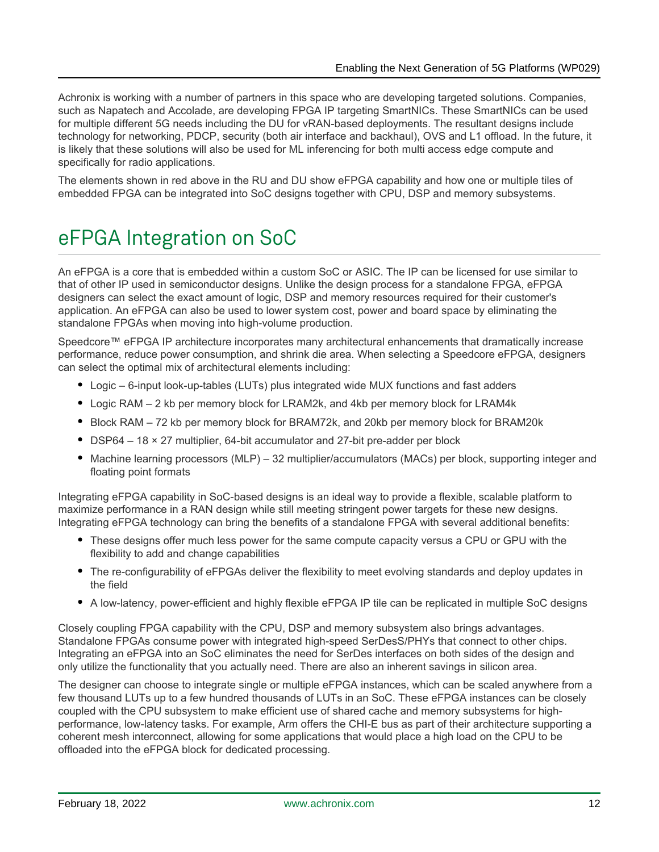Achronix is working with a number of partners in this space who are developing targeted solutions. Companies, such as Napatech and Accolade, are developing FPGA IP targeting SmartNICs. These SmartNICs can be used for multiple different 5G needs including the DU for vRAN-based deployments. The resultant designs include technology for networking, PDCP, security (both air interface and backhaul), OVS and L1 offload. In the future, it is likely that these solutions will also be used for ML inferencing for both multi access edge compute and specifically for radio applications.

The elements shown in red above in the RU and DU show eFPGA capability and how one or multiple tiles of embedded FPGA can be integrated into SoC designs together with CPU, DSP and memory subsystems.

# eFPGA Integration on SoC

An eFPGA is a core that is embedded within a custom SoC or ASIC. The IP can be licensed for use similar to that of other IP used in semiconductor designs. Unlike the design process for a standalone FPGA, eFPGA designers can select the exact amount of logic, DSP and memory resources required for their customer's application. An eFPGA can also be used to lower system cost, power and board space by eliminating the standalone FPGAs when moving into high-volume production.

Speedcore™ eFPGA IP architecture incorporates many architectural enhancements that dramatically increase performance, reduce power consumption, and shrink die area. When selecting a Speedcore eFPGA, designers can select the optimal mix of architectural elements including:

- Logic 6-input look-up-tables (LUTs) plus integrated wide MUX functions and fast adders
- Logic RAM 2 kb per memory block for LRAM2k, and 4kb per memory block for LRAM4k
- Block RAM 72 kb per memory block for BRAM72k, and 20kb per memory block for BRAM20k
- DSP64 18 × 27 multiplier, 64-bit accumulator and 27-bit pre-adder per block
- Machine learning processors (MLP) 32 multiplier/accumulators (MACs) per block, supporting integer and floating point formats

Integrating eFPGA capability in SoC-based designs is an ideal way to provide a flexible, scalable platform to maximize performance in a RAN design while still meeting stringent power targets for these new designs. Integrating eFPGA technology can bring the benefits of a standalone FPGA with several additional benefits:

- These designs offer much less power for the same compute capacity versus a CPU or GPU with the flexibility to add and change capabilities
- The re-configurability of eFPGAs deliver the flexibility to meet evolving standards and deploy updates in the field
- A low-latency, power-efficient and highly flexible eFPGA IP tile can be replicated in multiple SoC designs

Closely coupling FPGA capability with the CPU, DSP and memory subsystem also brings advantages. Standalone FPGAs consume power with integrated high-speed SerDesS/PHYs that connect to other chips. Integrating an eFPGA into an SoC eliminates the need for SerDes interfaces on both sides of the design and only utilize the functionality that you actually need. There are also an inherent savings in silicon area.

The designer can choose to integrate single or multiple eFPGA instances, which can be scaled anywhere from a few thousand LUTs up to a few hundred thousands of LUTs in an SoC. These eFPGA instances can be closely coupled with the CPU subsystem to make efficient use of shared cache and memory subsystems for highperformance, low-latency tasks. For example, Arm offers the CHI-E bus as part of their architecture supporting a coherent mesh interconnect, allowing for some applications that would place a high load on the CPU to be offloaded into the eFPGA block for dedicated processing.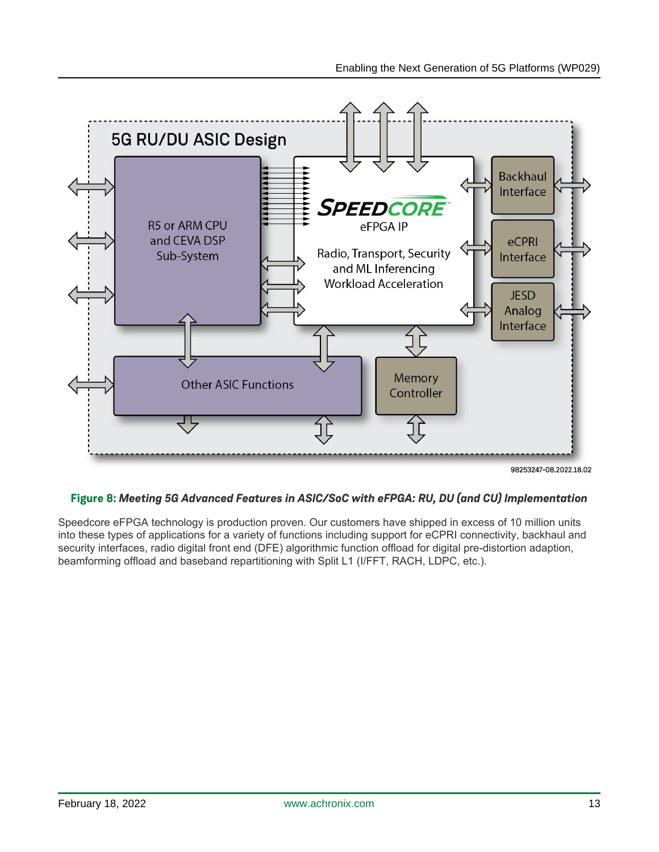

98253247-08.2022.18.02

## **Figure 8:** *Meeting 5G Advanced Features in ASIC/SoC with eFPGA: RU, DU (and CU) Implementation*

Speedcore eFPGA technology is production proven. Our customers have shipped in excess of 10 million units into these types of applications for a variety of functions including support for eCPRI connectivity, backhaul and security interfaces, radio digital front end (DFE) algorithmic function offload for digital pre-distortion adaption, beamforming offload and baseband repartitioning with Split L1 (I/FFT, RACH, LDPC, etc.).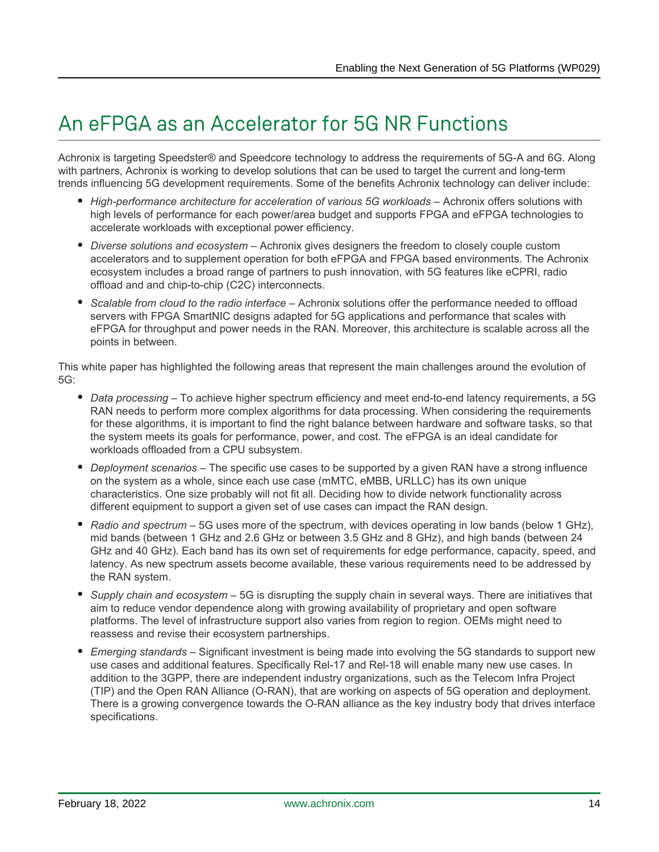# An eFPGA as an Accelerator for 5G NR Functions

Achronix is targeting Speedster® and Speedcore technology to address the requirements of 5G-A and 6G. Along with partners, Achronix is working to develop solutions that can be used to target the current and long-term trends influencing 5G development requirements. Some of the benefits Achronix technology can deliver include:

- High-performance architecture for acceleration of various 5G workloads Achronix offers solutions with high levels of performance for each power/area budget and supports FPGA and eFPGA technologies to accelerate workloads with exceptional power efficiency.
- *Diverse solutions and ecosystem* Achronix gives designers the freedom to closely couple custom accelerators and to supplement operation for both eFPGA and FPGA based environments. The Achronix ecosystem includes a broad range of partners to push innovation, with 5G features like eCPRI, radio offload and and chip-to-chip (C2C) interconnects.
- *Scalable from cloud to the radio interface* Achronix solutions offer the performance needed to offload servers with FPGA SmartNIC designs adapted for 5G applications and performance that scales with eFPGA for throughput and power needs in the RAN. Moreover, this architecture is scalable across all the points in between.

This white paper has highlighted the following areas that represent the main challenges around the evolution of 5G:

- *Data processing* To achieve higher spectrum efficiency and meet end-to-end latency requirements, a 5G RAN needs to perform more complex algorithms for data processing. When considering the requirements for these algorithms, it is important to find the right balance between hardware and software tasks, so that the system meets its goals for performance, power, and cost. The eFPGA is an ideal candidate for workloads offloaded from a CPU subsystem.
- *Deployment scenarios* The specific use cases to be supported by a given RAN have a strong influence on the system as a whole, since each use case (mMTC, eMBB, URLLC) has its own unique characteristics. One size probably will not fit all. Deciding how to divide network functionality across different equipment to support a given set of use cases can impact the RAN design.
- *Radio and spectrum* 5G uses more of the spectrum, with devices operating in low bands (below 1 GHz), mid bands (between 1 GHz and 2.6 GHz or between 3.5 GHz and 8 GHz), and high bands (between 24 GHz and 40 GHz). Each band has its own set of requirements for edge performance, capacity, speed, and latency. As new spectrum assets become available, these various requirements need to be addressed by the RAN system.
- *Supply chain and ecosystem* 5G is disrupting the supply chain in several ways. There are initiatives that aim to reduce vendor dependence along with growing availability of proprietary and open software platforms. The level of infrastructure support also varies from region to region. OEMs might need to reassess and revise their ecosystem partnerships.
- *Emerging standards* Significant investment is being made into evolving the 5G standards to support new use cases and additional features. Specifically Rel-17 and Rel-18 will enable many new use cases. In addition to the 3GPP, there are independent industry organizations, such as the Telecom Infra Project (TIP) and the Open RAN Alliance (O-RAN), that are working on aspects of 5G operation and deployment. There is a growing convergence towards the O-RAN alliance as the key industry body that drives interface specifications.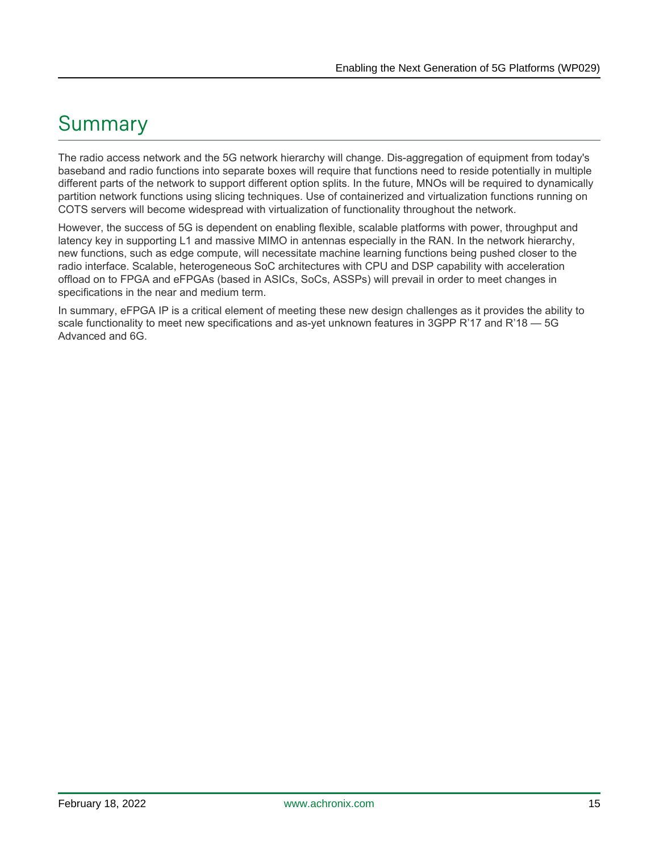# Summary

The radio access network and the 5G network hierarchy will change. Dis-aggregation of equipment from today's baseband and radio functions into separate boxes will require that functions need to reside potentially in multiple different parts of the network to support different option splits. In the future, MNOs will be required to dynamically partition network functions using slicing techniques. Use of containerized and virtualization functions running on COTS servers will become widespread with virtualization of functionality throughout the network.

However, the success of 5G is dependent on enabling flexible, scalable platforms with power, throughput and latency key in supporting L1 and massive MIMO in antennas especially in the RAN. In the network hierarchy, new functions, such as edge compute, will necessitate machine learning functions being pushed closer to the radio interface. Scalable, heterogeneous SoC architectures with CPU and DSP capability with acceleration offload on to FPGA and eFPGAs (based in ASICs, SoCs, ASSPs) will prevail in order to meet changes in specifications in the near and medium term.

In summary, eFPGA IP is a critical element of meeting these new design challenges as it provides the ability to scale functionality to meet new specifications and as-yet unknown features in 3GPP R'17 and R'18 - 5G Advanced and 6G.